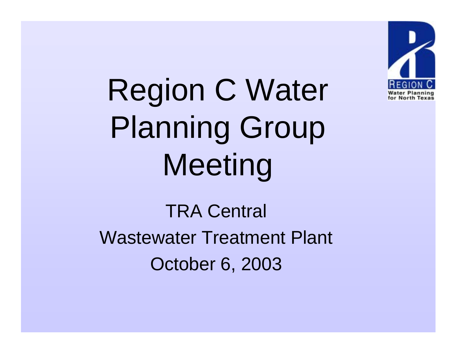

Region C Water Planning Group Meeting

TRA Central Wastewater Treatment Plant October 6, 2003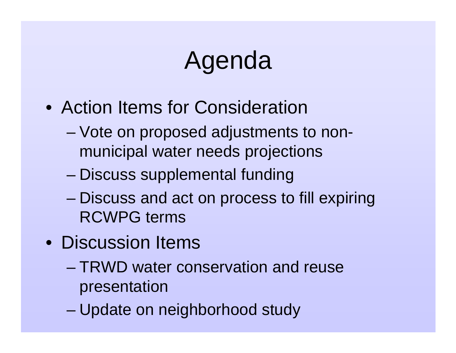# Agenda

- Action Items for Consideration
	- – Vote on proposed adjustments to nonmunicipal water needs projections
	- –Discuss supplemental funding
	- – Discuss and act on process to fill expiring RCWPG terms
- Discussion Items
	- TRWD water conservation and reuse presentation
	- –Update on neighborhood study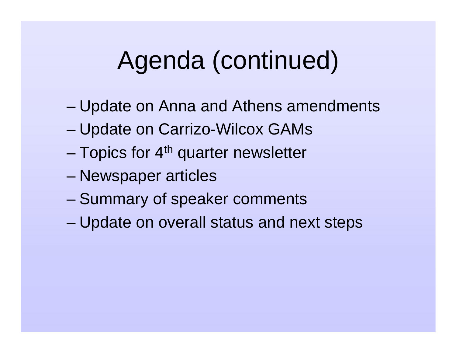# Agenda (continued)

- –Update on Anna and Athens amendments
- –Update on Carrizo-Wilcox GAMs
- Topics for 4<sup>th</sup> quarter newsletter
- Newspaper articles
- –Summary of speaker comments
- –Update on overall status and next steps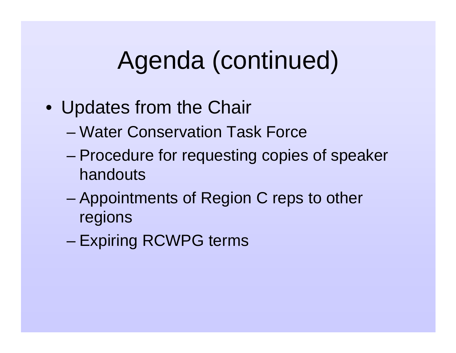# Agenda (continued)

- Updates from the Chair
	- Water Conservation Task Force
	- – Procedure for requesting copies of speaker handouts
	- – Appointments of Region C reps to other regions
	- –Expiring RCWPG terms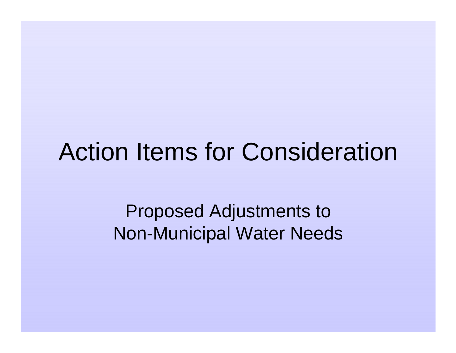# Action Items for Consideration

Proposed Adjustments to Non-Municipal Water Needs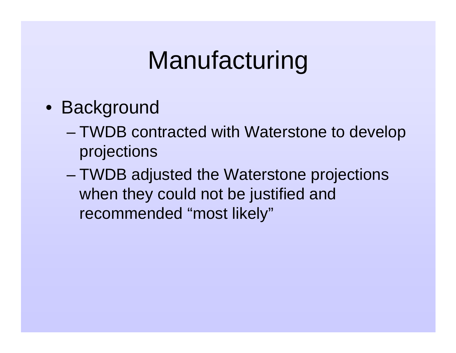- Background
	- – TWDB contracted with Waterstone to develop projections
	- – TWDB adjusted the Waterstone projections when they could not be justified and recommended "most likely"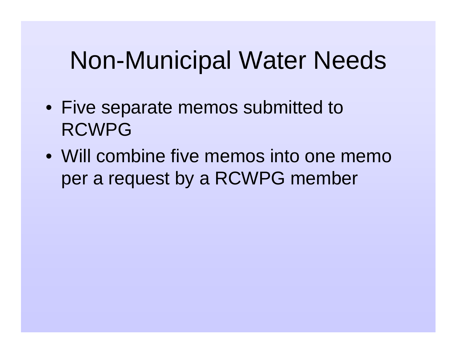# Non-Municipal Water Needs

- Five separate memos submitted to RCWPG
- Will combine five memos into one memo per a request by a RCWPG member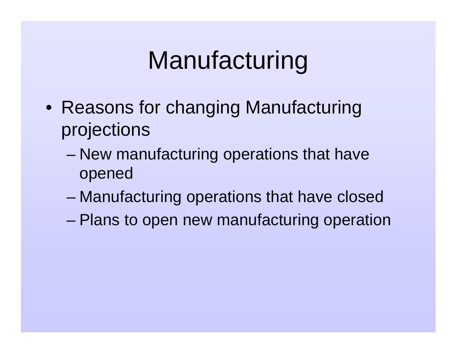- Reasons for changing Manufacturing projections
	- – New manufacturing operations that have opened
	- –Manufacturing operations that have closed
	- –Plans to open new manufacturing operation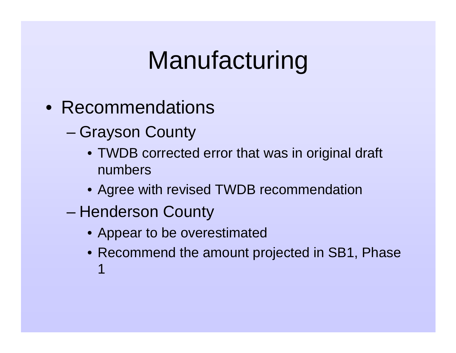- Recommendations
	- – Grayson County
		- TWDB corrected error that was in original draft numbers
		- Agree with revised TWDB recommendation
	- Henderson County
		- Appear to be overestimated
		- Recommend the amount projected in SB1, Phase 1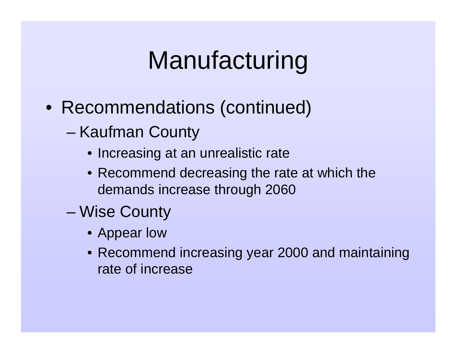- Recommendations (continued)
	- – Kaufman County
		- Increasing at an unrealistic rate
		- Recommend decreasing the rate at which the demands increase through 2060
	- Wise County
		- Appear low
		- Recommend increasing year 2000 and maintaining rate of increase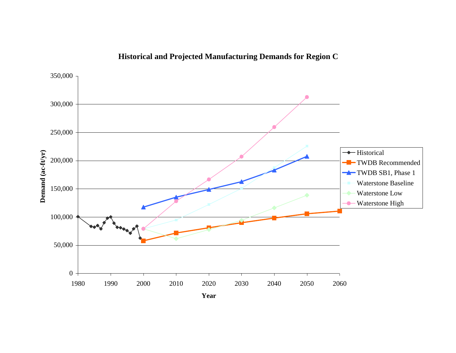

#### **Historical and Projected Manufacturing Demands for Region C**

**Year**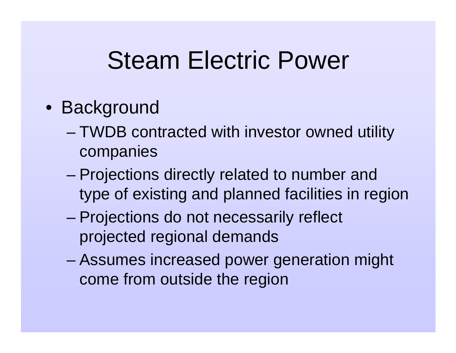# Steam Electric Power

- Background
	- – TWDB contracted with investor owned utility companies
	- – Projections directly related to number and type of existing and planned facilities in region
	- Projections do not necessarily reflect projected regional demands
	- – Assumes increased power generation might come from outside the region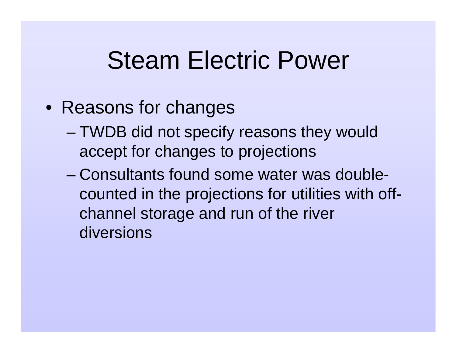# Steam Electric Power

- Reasons for changes
	- – TWDB did not specify reasons they would accept for changes to projections
	- Consultants found some water was doublecounted in the projections for utilities with offchannel storage and run of the river diversions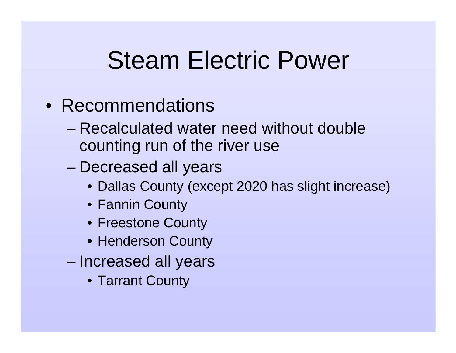# Steam Electric Power

- Recommendations
	- Recalculated water need without double counting run of the river use
	- – Decreased all years
		- Dallas County (except 2020 has slight increase)
		- Fannin County
		- Freestone County
		- Henderson County
	- – Increased all years
		- Tarrant County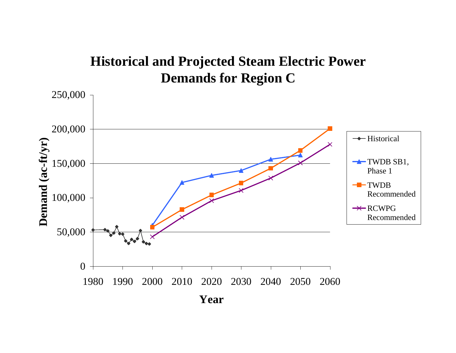#### **Historical and Projected Steam Electric Power Demands for Region C**

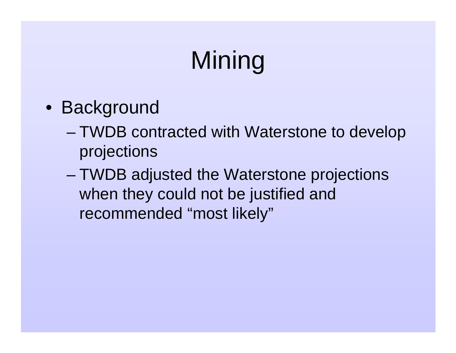- Background
	- – TWDB contracted with Waterstone to develop projections
	- – TWDB adjusted the Waterstone projections when they could not be justified and recommended "most likely"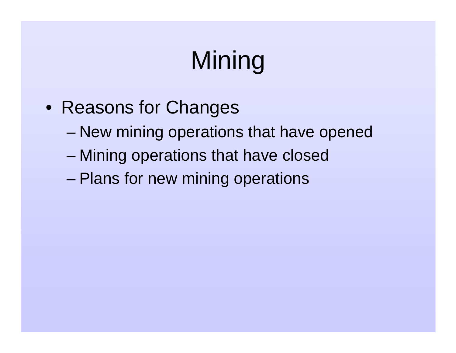- Reasons for Changes
	- –New mining operations that have opened
	- –Mining operations that have closed
	- –Plans for new mining operations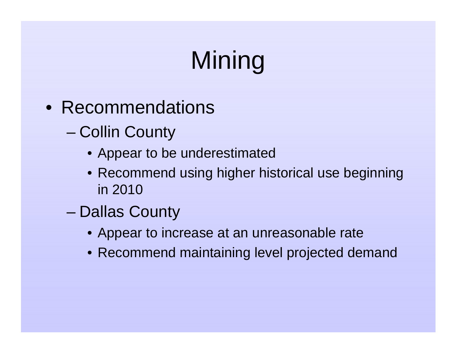- Recommendations
	- – Collin County
		- Appear to be underestimated
		- Recommend using higher historical use beginning in 2010
	- Dallas County
		- Appear to increase at an unreasonable rate
		- Recommend maintaining level projected demand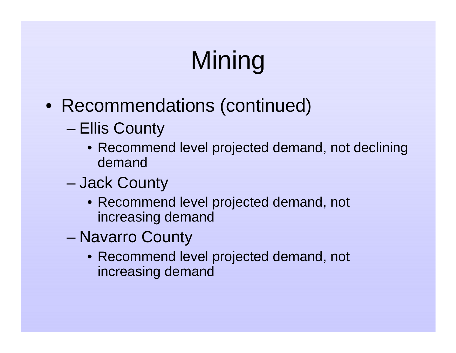- Recommendations (continued)
	- – Ellis County
		- Recommend level projected demand, not declining demand
	- – Jack County
		- Recommend level projected demand, not increasing demand
	- – Navarro County
		- Recommend level projected demand, not increasing demand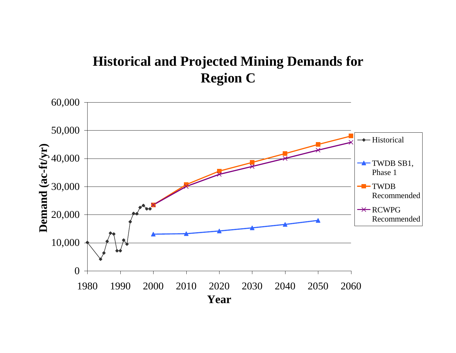#### **Historical and Projected Mining Demands for Region C**

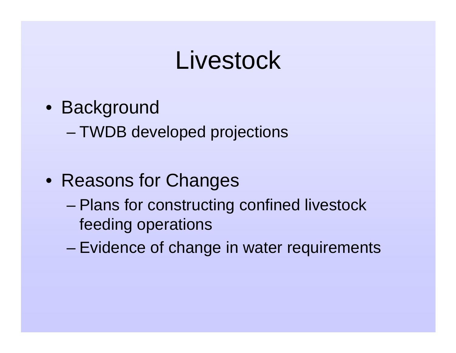# Livestock

- Background
	- –TWDB developed projections
- Reasons for Changes
	- – Plans for constructing confined livestock feeding operations
	- –Evidence of change in water requirements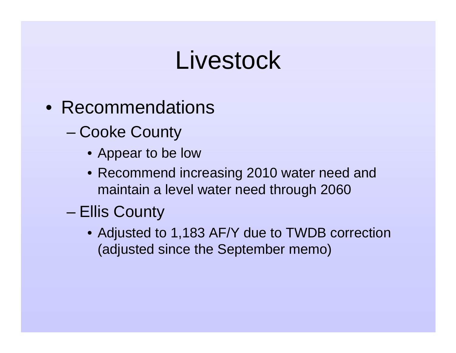# Livestock

- Recommendations
	- – Cooke County
		- Appear to be low
		- Recommend increasing 2010 water need and maintain a level water need through 2060
	- Ellis County
		- Adjusted to 1,183 AF/Y due to TWDB correction (adjusted since the September memo)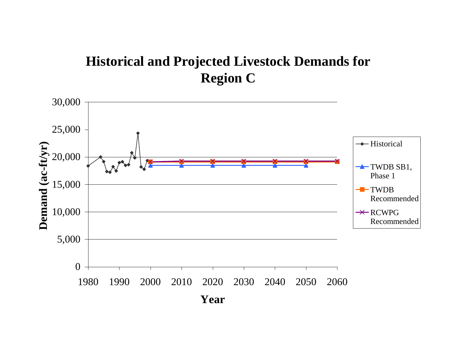#### **Historical and Projected Livestock Demands for Region C**

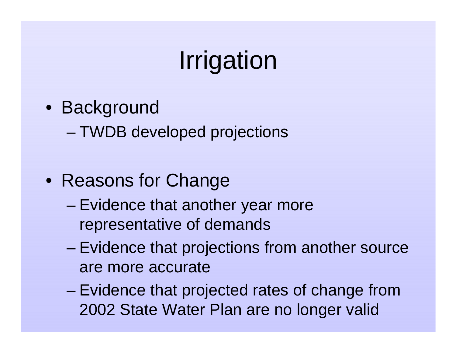# Irrigation

- Background
	- –TWDB developed projections
- Reasons for Change
	- – Evidence that another year more representative of demands
	- – Evidence that projections from another source are more accurate
	- Evidence that projected rates of change from 2002 State Water Plan are no longer valid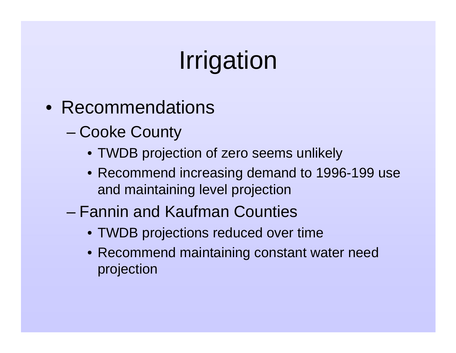# Irrigation

- Recommendations
	- – Cooke County
		- TWDB projection of zero seems unlikely
		- Recommend increasing demand to 1996-199 use and maintaining level projection
	- Fannin and Kaufman Counties
		- TWDB projections reduced over time
		- Recommend maintaining constant water need projection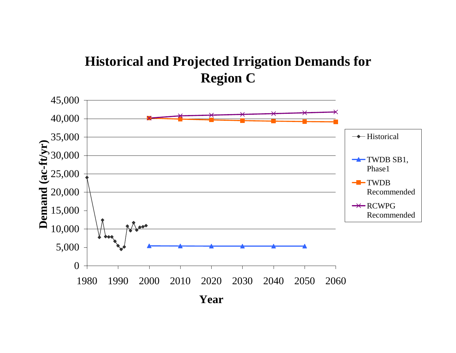#### **Historical and Projected Irrigation Demands for Region C**

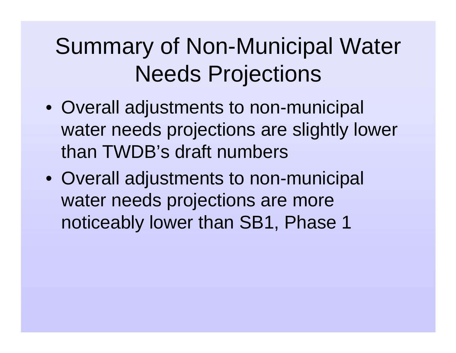# Summary of Non-Municipal Water Needs Projections

- Overall adjustments to non-municipal water needs projections are slightly lower than TWDB's draft numbers
- Overall adjustments to non-municipal water needs projections are more noticeably lower than SB1, Phase 1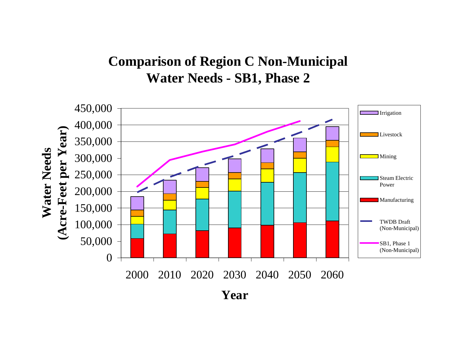#### **Comparison of Region C Non-Municipal Water Needs - SB1, Phase 2**

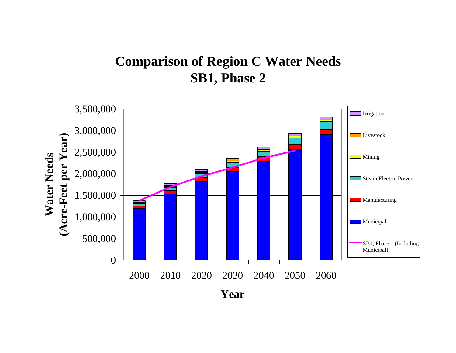#### **Comparison of Region C Water Needs SB1, Phase 2**

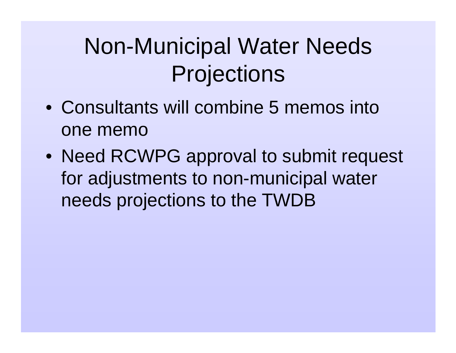# Non-Municipal Water Needs **Projections**

- Consultants will combine 5 memos into one memo
- Need RCWPG approval to submit request for adjustments to non-municipal water needs projections to the TWDB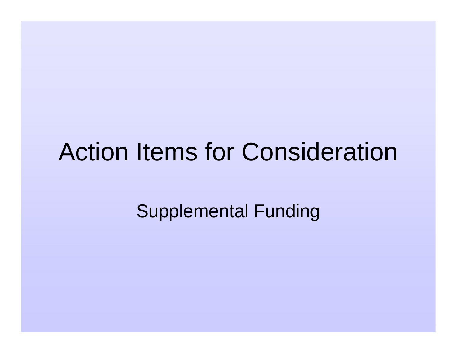# Action Items for Consideration

Supplemental Funding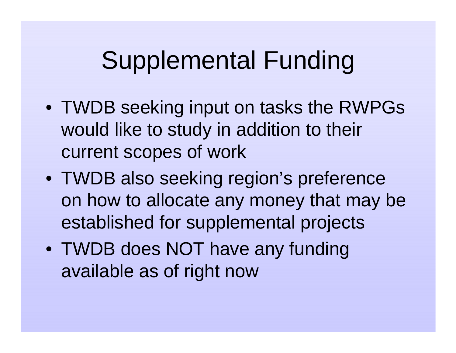- TWDB seeking input on tasks the RWPGs would like to study in addition to their current scopes of work
- TWDB also seeking region's preference on how to allocate any money that may be established for supplemental projects
- TWDB does NOT have any funding available as of right now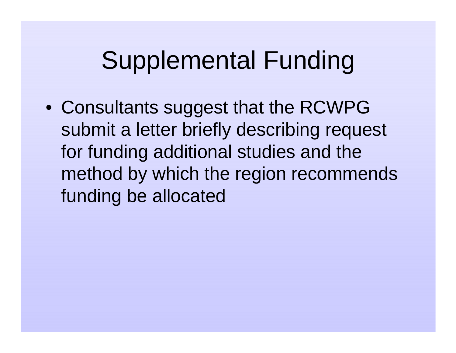• Consultants suggest that the RCWPG submit a letter briefly describing request for funding additional studies and the method by which the region recommends funding be allocated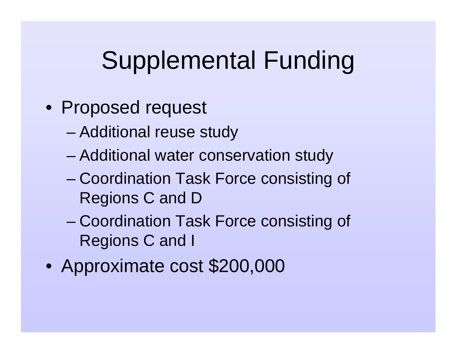- Proposed request
	- –Additional reuse study
	- –Additional water conservation study
	- – Coordination Task Force consisting of Regions C and D
	- Coordination Task Force consisting of Regions C and I
- $\bullet$ Approximate cost \$200,000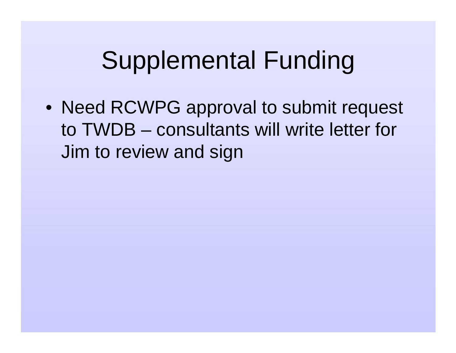• Need RCWPG approval to submit request to TWDB – consultants will write letter for Jim to review and sign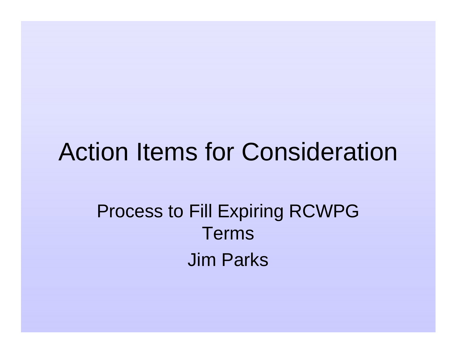### Action Items for Consideration

### Process to Fill Expiring RCWPG TermsJim Parks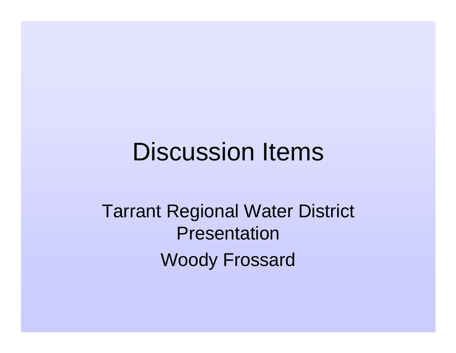### Discussion Items

Tarrant Regional Water District PresentationWoody Frossard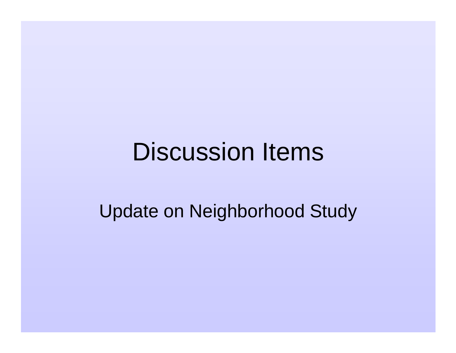# Discussion Items

Update on Neighborhood Study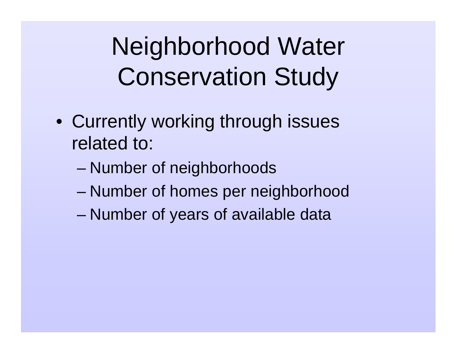Neighborhood Water Conservation Study

- Currently working through issues related to:
	- –Number of neighborhoods
	- –Number of homes per neighborhood
	- –Number of years of available data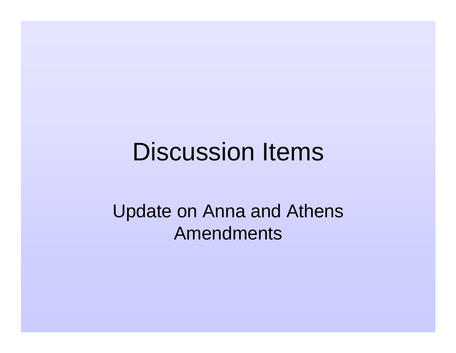### Discussion Items

Update on Anna and Athens Amendments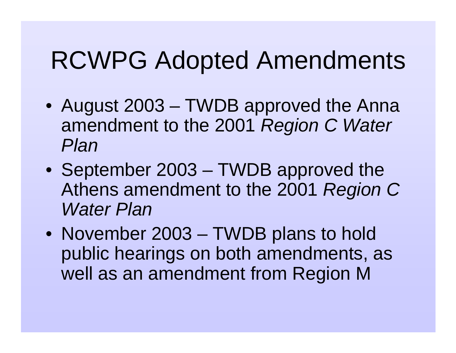# RCWPG Adopted Amendments

- August 2003 TWDB approved the Anna amendment to the 2001 Region C Water Plan
- September 2003 TWDB approved the Athens amendment to the 2001 Region C Water Plan
- November 2003 TWDB plans to hold public hearings on both amendments, as well as an amendment from Region M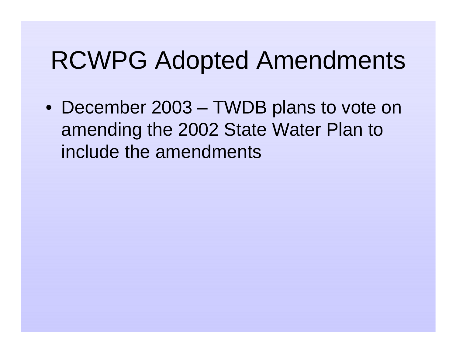# RCWPG Adopted Amendments

• December 2003 – TWDB plans to vote on amending the 2002 State Water Plan to include the amendments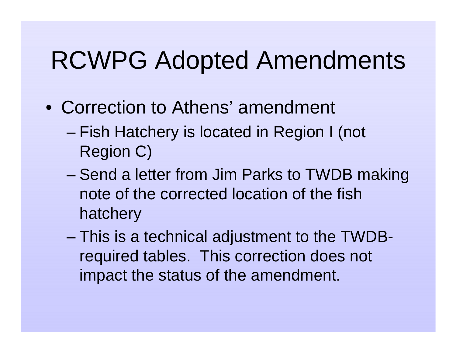# RCWPG Adopted Amendments

- Correction to Athens' amendment
	- – Fish Hatchery is located in Region I (not Region C)
	- – Send a letter from Jim Parks to TWDB making note of the corrected location of the fish hatchery
	- – This is a technical adjustment to the TWDBrequired tables. This correction does not impact the status of the amendment.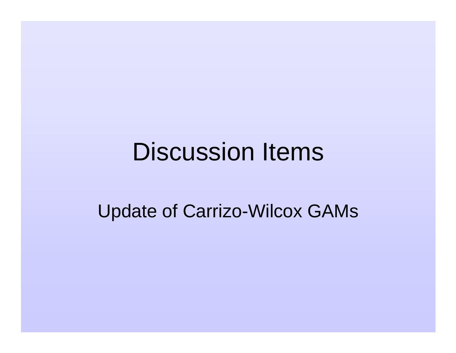## Discussion Items

#### Update of Carrizo-Wilcox GAMs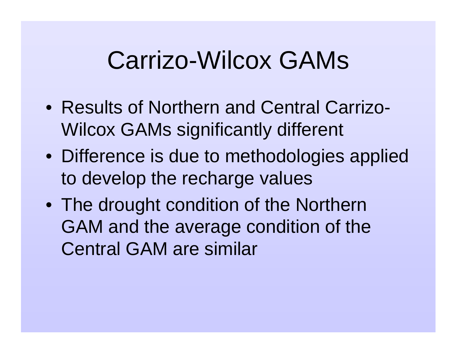# Carrizo-Wilcox GAMs

- Results of Northern and Central Carrizo-Wilcox GAMs significantly different
- Difference is due to methodologies applied to develop the recharge values
- The drought condition of the Northern GAM and the average condition of the Central GAM are similar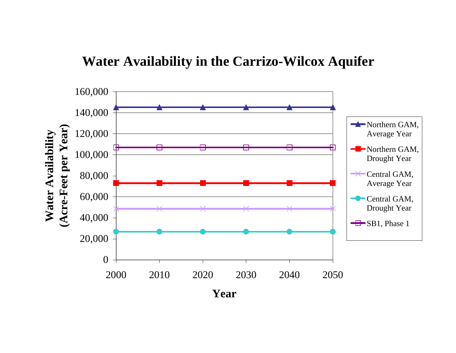#### **Water Availability in the Carrizo-Wilcox Aquifer**

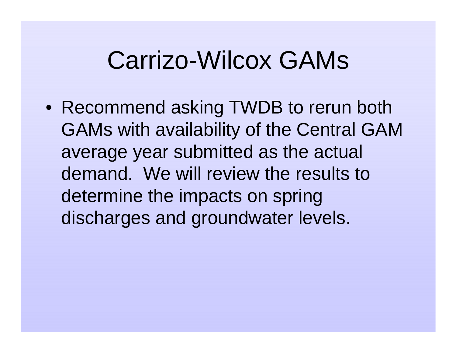# Carrizo-Wilcox GAMs

• Recommend asking TWDB to rerun both GAMs with availability of the Central GAM average year submitted as the actual demand. We will review the results to determine the impacts on spring discharges and groundwater levels.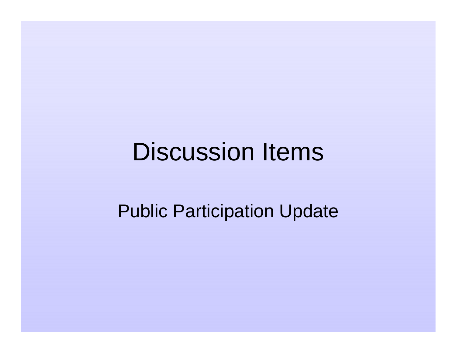# Discussion Items

#### Public Participation Update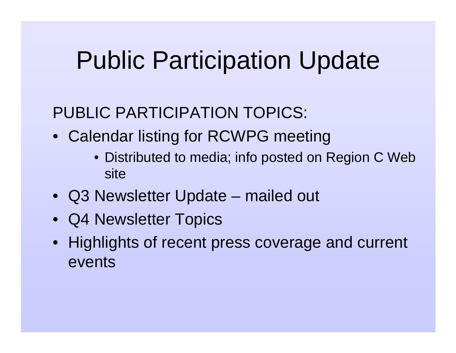# Public Participation Update

#### PUBLIC PARTICIPATION TOPICS:

- Calendar listing for RCWPG meeting
	- Distributed to media; info posted on Region C Web site
- Q3 Newsletter Update mailed out
- Q4 Newsletter Topics
- Highlights of recent press coverage and current events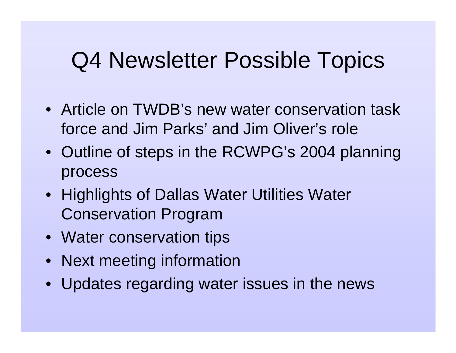### Q4 Newsletter Possible Topics

- Article on TWDB's new water conservation task force and Jim Parks' and Jim Oliver's role
- Outline of steps in the RCWPG's 2004 planning process
- Highlights of Dallas Water Utilities Water Conservation Program
- Water conservation tips
- Next meeting information
- Updates regarding water issues in the news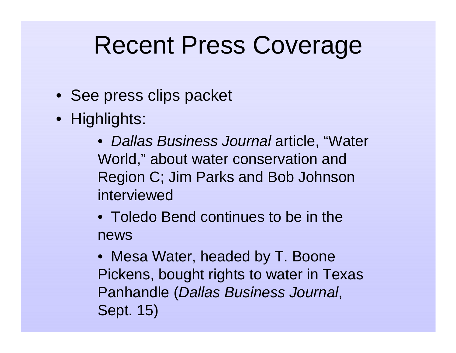# Recent Press Coverage

- See press clips packet
- Highlights:
	- Dallas Business Journal article, "Water World," about water conservation and Region C; Jim Parks and Bob Johnson interviewed
	- Toledo Bend continues to be in the news
	- Mesa Water, headed by T. Boone Pickens, bought rights to water in Texas Panhandle (Dallas Business Journal, Sept. 15)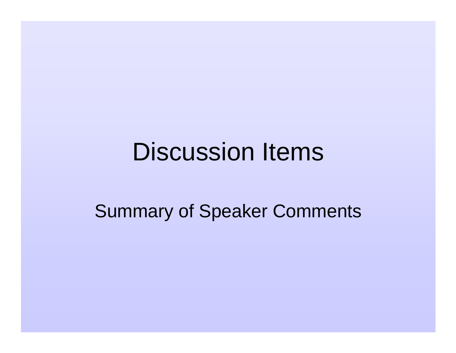# Discussion Items

#### Summary of Speaker Comments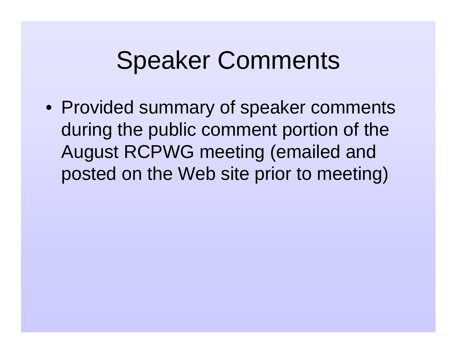# Speaker Comments

• Provided summary of speaker comments during the public comment portion of the August RCPWG meeting (emailed and posted on the Web site prior to meeting)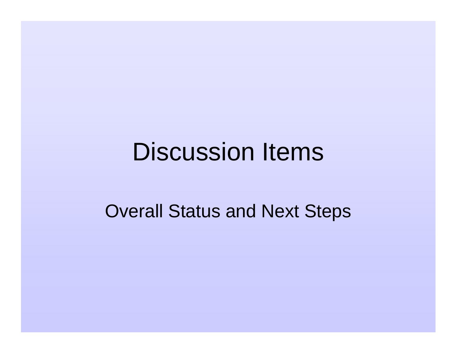# Discussion Items

#### Overall Status and Next Steps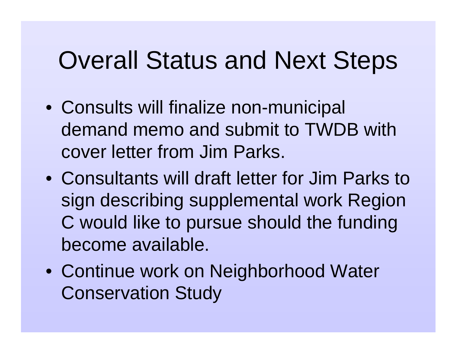# Overall Status and Next Steps

- Consults will finalize non-municipal demand memo and submit to TWDB with cover letter from Jim Parks.
- Consultants will draft letter for Jim Parks to sign describing supplemental work Region C would like to pursue should the funding become available.
- Continue work on Neighborhood Water Conservation Study